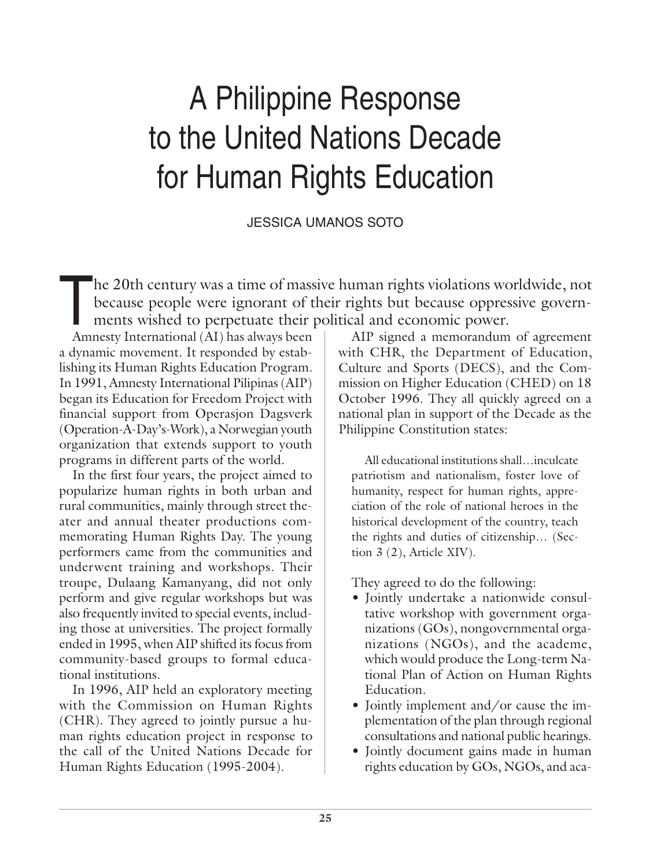# A Philippine Response to the United Nations Decade for Human Rights Education

JESSICA UMANOS SOTO

The 20th century was a time of massive human rights violations worldwide, not<br>because people were ignorant of their rights but because oppressive govern-<br>ments wished to perpetuate their political and economic power. because people were ignorant of their rights but because oppressive governments wished to perpetuate their political and economic power.

Amnesty International (AI) has always been a dynamic movement. It responded by establishing its Human Rights Education Program. In 1991, Amnesty International Pilipinas (AIP) began its Education for Freedom Project with financial support from Operasjon Dagsverk (Operation-A-Day's-Work), a Norwegian youth organization that extends support to youth programs in different parts of the world.

In the first four years, the project aimed to popularize human rights in both urban and rural communities, mainly through street theater and annual theater productions commemorating Human Rights Day. The young performers came from the communities and underwent training and workshops. Their troupe, Dulaang Kamanyang, did not only perform and give regular workshops but was also frequently invited to special events, including those at universities. The project formally ended in 1995, when AIP shifted its focus from community-based groups to formal educational institutions.

In 1996, AIP held an exploratory meeting with the Commission on Human Rights (CHR). They agreed to jointly pursue a human rights education project in response to the call of the United Nations Decade for Human Rights Education (1995-2004).

AIP signed a memorandum of agreement with CHR, the Department of Education, Culture and Sports (DECS), and the Commission on Higher Education (CHED) on 18 October 1996. They all quickly agreed on a national plan in support of the Decade as the Philippine Constitution states:

All educational institutions shall…inculcate patriotism and nationalism, foster love of humanity, respect for human rights, appreciation of the role of national heroes in the historical development of the country, teach the rights and duties of citizenship… (Section 3 (2), Article XIV).

They agreed to do the following:

- Jointly undertake a nationwide consultative workshop with government organizations (GOs), nongovernmental organizations (NGOs), and the academe, which would produce the Long-term National Plan of Action on Human Rights Education.
- Jointly implement and/or cause the implementation of the plan through regional consultations and national public hearings.
- Jointly document gains made in human rights education by GOs, NGOs, and aca-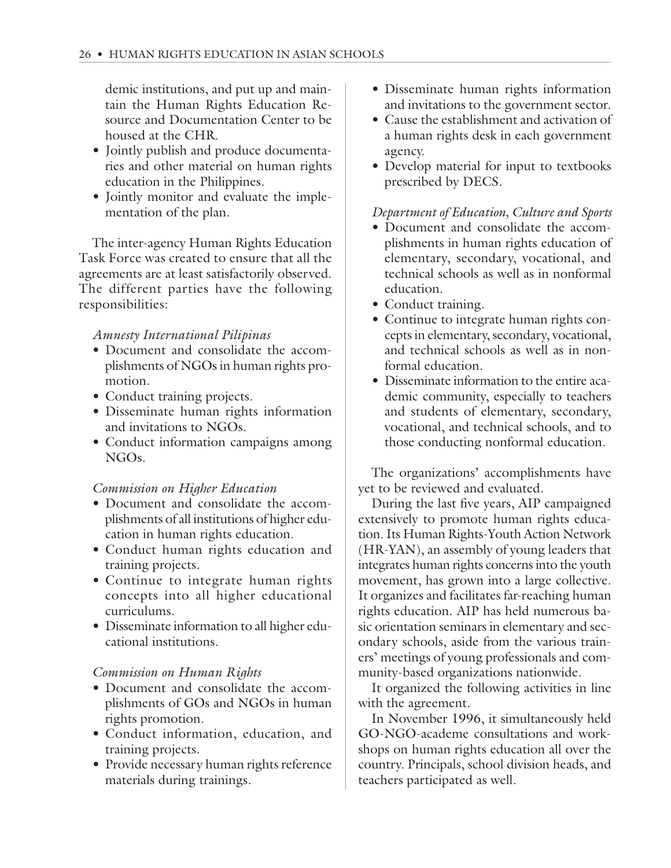demic institutions, and put up and maintain the Human Rights Education Resource and Documentation Center to be housed at the CHR.

- Jointly publish and produce documentaries and other material on human rights education in the Philippines.
- Jointly monitor and evaluate the implementation of the plan.

The inter-agency Human Rights Education Task Force was created to ensure that all the agreements are at least satisfactorily observed. The different parties have the following responsibilities:

# *Amnesty International Pilipinas*

- Document and consolidate the accomplishments of NGOs in human rights promotion.
- Conduct training projects.
- Disseminate human rights information and invitations to NGOs.
- Conduct information campaigns among NGOs.

# *Commission on Higher Education*

- Document and consolidate the accomplishments of all institutions of higher education in human rights education.
- Conduct human rights education and training projects.
- Continue to integrate human rights concepts into all higher educational curriculums.
- Disseminate information to all higher educational institutions.

# *Commission on Human Rights*

- Document and consolidate the accomplishments of GOs and NGOs in human rights promotion.
- Conduct information, education, and training projects.
- Provide necessary human rights reference materials during trainings.
- Disseminate human rights information and invitations to the government sector.
- Cause the establishment and activation of a human rights desk in each government agency.
- Develop material for input to textbooks prescribed by DECS.

# *Department of Education, Culture and Sports*

- Document and consolidate the accomplishments in human rights education of elementary, secondary, vocational, and technical schools as well as in nonformal education.
- Conduct training.
- Continue to integrate human rights concepts in elementary, secondary, vocational, and technical schools as well as in nonformal education.
- Disseminate information to the entire academic community, especially to teachers and students of elementary, secondary, vocational, and technical schools, and to those conducting nonformal education.

The organizations' accomplishments have yet to be reviewed and evaluated.

During the last five years, AIP campaigned extensively to promote human rights education. Its Human Rights-Youth Action Network (HR-YAN), an assembly of young leaders that integrates human rights concerns into the youth movement, has grown into a large collective. It organizes and facilitates far-reaching human rights education. AIP has held numerous basic orientation seminars in elementary and secondary schools, aside from the various trainers' meetings of young professionals and community-based organizations nationwide.

It organized the following activities in line with the agreement.

In November 1996, it simultaneously held GO-NGO-academe consultations and workshops on human rights education all over the country. Principals, school division heads, and teachers participated as well.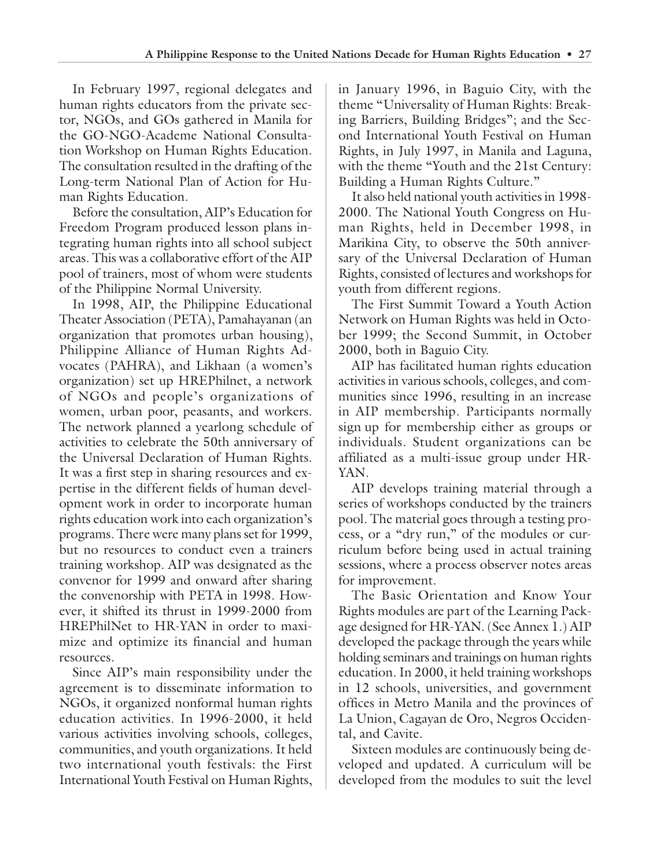In February 1997, regional delegates and human rights educators from the private sector, NGOs, and GOs gathered in Manila for the GO-NGO-Academe National Consultation Workshop on Human Rights Education. The consultation resulted in the drafting of the Long-term National Plan of Action for Human Rights Education.

Before the consultation, AIP's Education for Freedom Program produced lesson plans integrating human rights into all school subject areas. This was a collaborative effort of the AIP pool of trainers, most of whom were students of the Philippine Normal University.

In 1998, AIP, the Philippine Educational Theater Association (PETA), Pamahayanan (an organization that promotes urban housing), Philippine Alliance of Human Rights Advocates (PAHRA), and Likhaan (a women's organization) set up HREPhilnet, a network of NGOs and people's organizations of women, urban poor, peasants, and workers. The network planned a yearlong schedule of activities to celebrate the 50th anniversary of the Universal Declaration of Human Rights. It was a first step in sharing resources and expertise in the different fields of human development work in order to incorporate human rights education work into each organization's programs. There were many plans set for 1999, but no resources to conduct even a trainers training workshop. AIP was designated as the convenor for 1999 and onward after sharing the convenorship with PETA in 1998. However, it shifted its thrust in 1999-2000 from HREPhilNet to HR-YAN in order to maximize and optimize its financial and human resources.

Since AIP's main responsibility under the agreement is to disseminate information to NGOs, it organized nonformal human rights education activities. In 1996-2000, it held various activities involving schools, colleges, communities, and youth organizations. It held two international youth festivals: the First International Youth Festival on Human Rights,

in January 1996, in Baguio City, with the theme "Universality of Human Rights: Breaking Barriers, Building Bridges"; and the Second International Youth Festival on Human Rights, in July 1997, in Manila and Laguna, with the theme "Youth and the 21st Century: Building a Human Rights Culture."

It also held national youth activities in 1998- 2000. The National Youth Congress on Human Rights, held in December 1998, in Marikina City, to observe the 50th anniversary of the Universal Declaration of Human Rights, consisted of lectures and workshops for youth from different regions.

The First Summit Toward a Youth Action Network on Human Rights was held in October 1999; the Second Summit, in October 2000, both in Baguio City.

AIP has facilitated human rights education activities in various schools, colleges, and communities since 1996, resulting in an increase in AIP membership. Participants normally sign up for membership either as groups or individuals. Student organizations can be affiliated as a multi-issue group under HR-YAN.

AIP develops training material through a series of workshops conducted by the trainers pool. The material goes through a testing process, or a "dry run," of the modules or curriculum before being used in actual training sessions, where a process observer notes areas for improvement.

The Basic Orientation and Know Your Rights modules are part of the Learning Package designed for HR-YAN. (See Annex 1.) AIP developed the package through the years while holding seminars and trainings on human rights education. In 2000, it held training workshops in 12 schools, universities, and government offices in Metro Manila and the provinces of La Union, Cagayan de Oro, Negros Occidental, and Cavite.

Sixteen modules are continuously being developed and updated. A curriculum will be developed from the modules to suit the level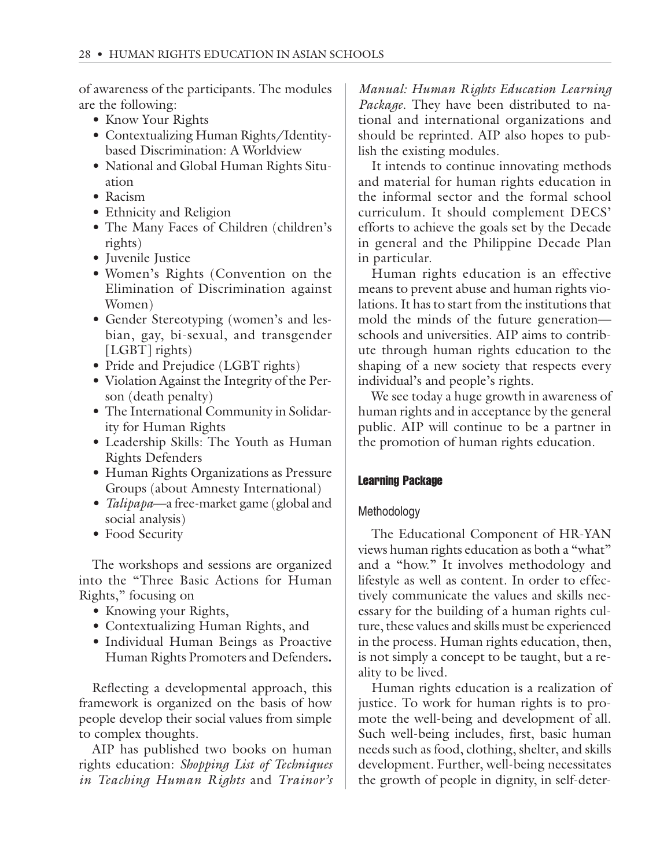of awareness of the participants. The modules are the following:

- Know Your Rights
- Contextualizing Human Rights/Identitybased Discrimination: A Worldview
- National and Global Human Rights Situation
- Racism
- Ethnicity and Religion
- The Many Faces of Children (children's rights)
- Juvenile Justice
- Women's Rights (Convention on the Elimination of Discrimination against Women)
- Gender Stereotyping (women's and lesbian, gay, bi-sexual, and transgender [LGBT] rights)
- Pride and Prejudice (LGBT rights)
- Violation Against the Integrity of the Person (death penalty)
- The International Community in Solidarity for Human Rights
- Leadership Skills: The Youth as Human Rights Defenders
- Human Rights Organizations as Pressure Groups (about Amnesty International)
- *Talipapa*—a free-market game (global and social analysis)
- Food Security

The workshops and sessions are organized into the "Three Basic Actions for Human Rights," focusing on

- Knowing your Rights,
- Contextualizing Human Rights, and
- Individual Human Beings as Proactive Human Rights Promoters and Defenders**.**

Reflecting a developmental approach, this framework is organized on the basis of how people develop their social values from simple to complex thoughts.

AIP has published two books on human rights education: *Shopping List of Techniques in Teaching Human Rights* and *Trainor's*

*Manual: Human Rights Education Learning Package*. They have been distributed to national and international organizations and should be reprinted. AIP also hopes to publish the existing modules.

It intends to continue innovating methods and material for human rights education in the informal sector and the formal school curriculum. It should complement DECS' efforts to achieve the goals set by the Decade in general and the Philippine Decade Plan in particular.

Human rights education is an effective means to prevent abuse and human rights violations. It has to start from the institutions that mold the minds of the future generation schools and universities. AIP aims to contribute through human rights education to the shaping of a new society that respects every individual's and people's rights.

We see today a huge growth in awareness of human rights and in acceptance by the general public. AIP will continue to be a partner in the promotion of human rights education.

# Learning Package

# Methodology

The Educational Component of HR-YAN views human rights education as both a "what" and a "how." It involves methodology and lifestyle as well as content. In order to effectively communicate the values and skills necessary for the building of a human rights culture, these values and skills must be experienced in the process. Human rights education, then, is not simply a concept to be taught, but a reality to be lived.

Human rights education is a realization of justice. To work for human rights is to promote the well-being and development of all. Such well-being includes, first, basic human needs such as food, clothing, shelter, and skills development. Further, well-being necessitates the growth of people in dignity, in self-deter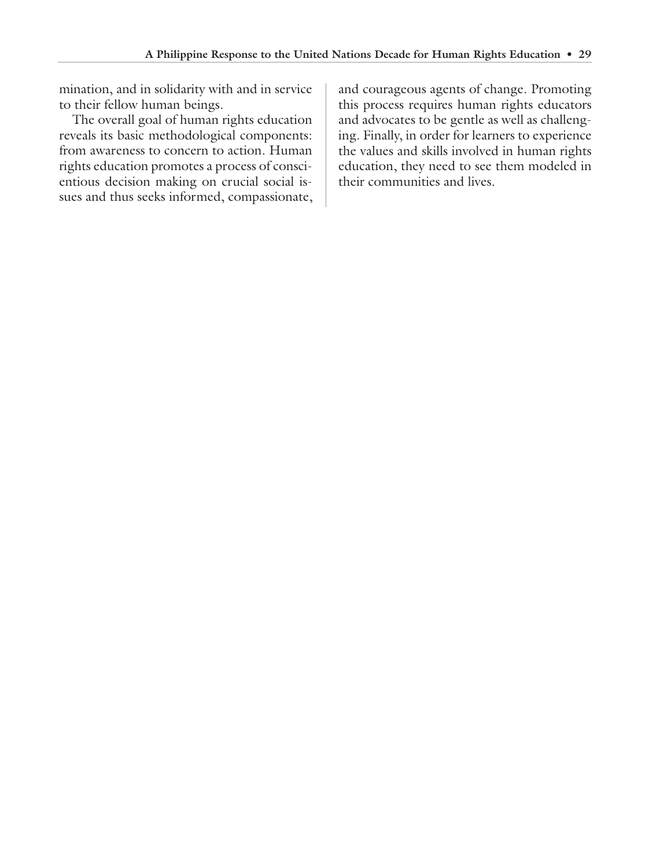mination, and in solidarity with and in service to their fellow human beings.

The overall goal of human rights education reveals its basic methodological components: from awareness to concern to action. Human rights education promotes a process of conscientious decision making on crucial social issues and thus seeks informed, compassionate, and courageous agents of change. Promoting this process requires human rights educators and advocates to be gentle as well as challenging. Finally, in order for learners to experience the values and skills involved in human rights education, they need to see them modeled in their communities and lives.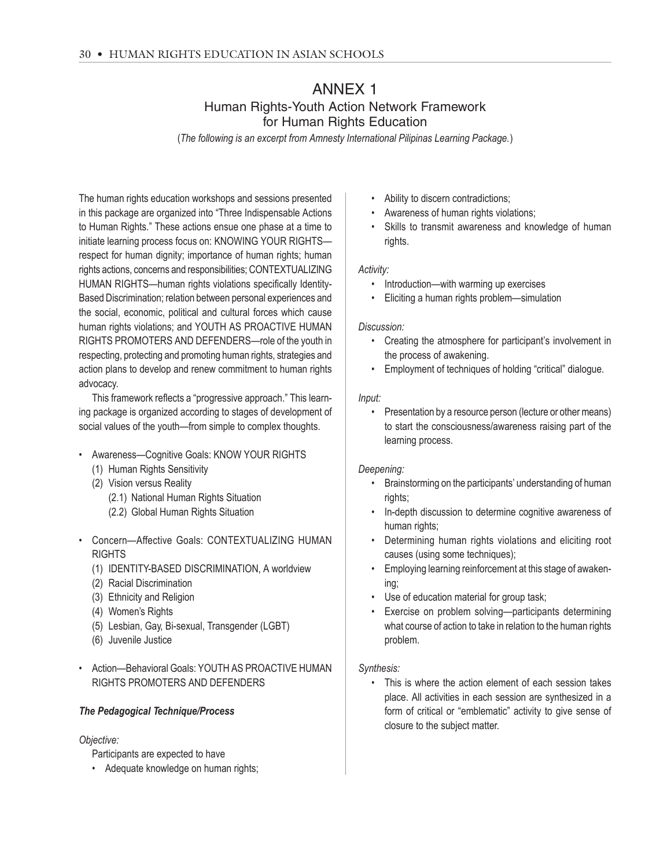# ANNEX 1 Human Rights-Youth Action Network Framework for Human Rights Education

(*The following is an excerpt from Amnesty International Pilipinas Learning Package.*)

The human rights education workshops and sessions presented in this package are organized into "Three Indispensable Actions to Human Rights." These actions ensue one phase at a time to initiate learning process focus on: KNOWING YOUR RIGHTS respect for human dignity; importance of human rights; human rights actions, concerns and responsibilities; CONTEXTUALIZING HUMAN RIGHTS—human rights violations specifically Identity-Based Discrimination; relation between personal experiences and the social, economic, political and cultural forces which cause human rights violations; and YOUTH AS PROACTIVE HUMAN RIGHTS PROMOTERS AND DEFENDERS—role of the youth in respecting, protecting and promoting human rights, strategies and action plans to develop and renew commitment to human rights advocacy.

This framework reflects a "progressive approach." This learning package is organized according to stages of development of social values of the youth—from simple to complex thoughts.

- Awareness—Cognitive Goals: KNOW YOUR RIGHTS
	- (1) Human Rights Sensitivity
	- (2) Vision versus Reality (2.1) National Human Rights Situation (2.2) Global Human Rights Situation
- Concern—Affective Goals: CONTEXTUALIZING HUMAN **RIGHTS** 
	- (1) IDENTITY-BASED DISCRIMINATION, A worldview
	- (2) Racial Discrimination
	- (3) Ethnicity and Religion
	- (4) Women's Rights
	- (5) Lesbian, Gay, Bi-sexual, Transgender (LGBT)
	- (6) Juvenile Justice
- Action—Behavioral Goals: YOUTH AS PROACTIVE HUMAN RIGHTS PROMOTERS AND DEFENDERS

#### *The Pedagogical Technique/Process*

#### *Objective:*

Participants are expected to have

• Adequate knowledge on human rights;

- Ability to discern contradictions;
- Awareness of human rights violations;
- Skills to transmit awareness and knowledge of human rights.

#### *Activity:*

- Introduction—with warming up exercises
- Eliciting a human rights problem—simulation

#### *Discussion:*

- Creating the atmosphere for participant's involvement in the process of awakening.
- Employment of techniques of holding "critical" dialogue.

#### *Input:*

• Presentation by a resource person (lecture or other means) to start the consciousness/awareness raising part of the learning process.

#### *Deepening:*

- Brainstorming on the participants' understanding of human rights;
- In-depth discussion to determine cognitive awareness of human rights;
- Determining human rights violations and eliciting root causes (using some techniques);
- Employing learning reinforcement at this stage of awakening;
- Use of education material for group task;
- Exercise on problem solving—participants determining what course of action to take in relation to the human rights problem.

#### *Synthesis:*

This is where the action element of each session takes place. All activities in each session are synthesized in a form of critical or "emblematic" activity to give sense of closure to the subject matter.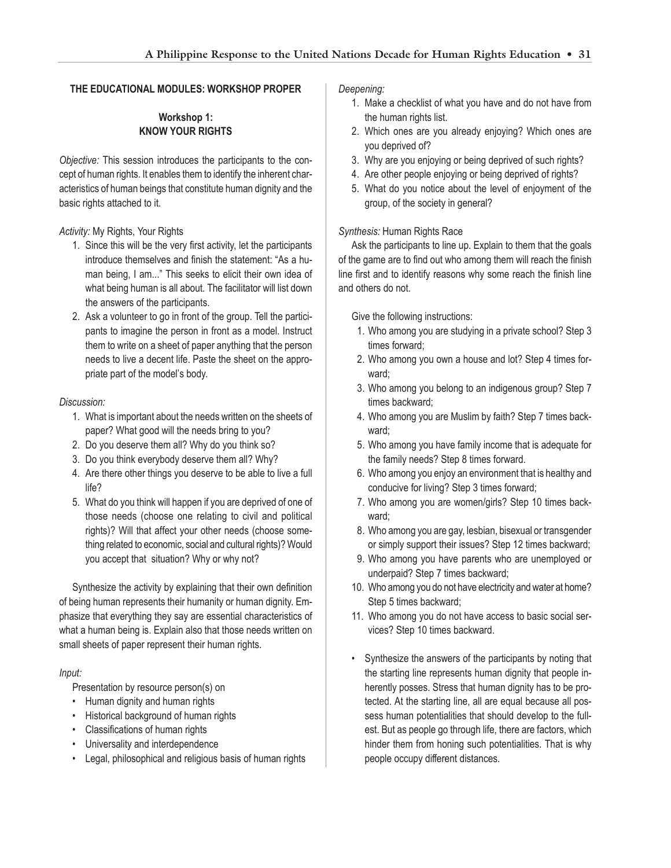#### **THE EDUCATIONAL MODULES: WORKSHOP PROPER**

## **Workshop 1: KNOW YOUR RIGHTS**

*Objective:* This session introduces the participants to the concept of human rights. It enables them to identify the inherent characteristics of human beings that constitute human dignity and the basic rights attached to it.

#### *Activity:* My Rights, Your Rights

- 1. Since this will be the very first activity, let the participants introduce themselves and finish the statement: "As a human being, I am..." This seeks to elicit their own idea of what being human is all about. The facilitator will list down the answers of the participants.
- 2. Ask a volunteer to go in front of the group. Tell the participants to imagine the person in front as a model. Instruct them to write on a sheet of paper anything that the person needs to live a decent life. Paste the sheet on the appropriate part of the model's body.

#### *Discussion:*

- 1. What is important about the needs written on the sheets of paper? What good will the needs bring to you?
- 2. Do you deserve them all? Why do you think so?
- 3. Do you think everybody deserve them all? Why?
- 4. Are there other things you deserve to be able to live a full life?
- 5. What do you think will happen if you are deprived of one of those needs (choose one relating to civil and political rights)? Will that affect your other needs (choose something related to economic, social and cultural rights)? Would you accept that situation? Why or why not?

Synthesize the activity by explaining that their own definition of being human represents their humanity or human dignity. Emphasize that everything they say are essential characteristics of what a human being is. Explain also that those needs written on small sheets of paper represent their human rights.

#### *Input:*

Presentation by resource person(s) on

- Human dignity and human rights
- Historical background of human rights
- Classifications of human rights
- Universality and interdependence
- Legal, philosophical and religious basis of human rights

#### *Deepening:*

- 1. Make a checklist of what you have and do not have from the human rights list.
- 2. Which ones are you already enjoying? Which ones are you deprived of?
- 3. Why are you enjoying or being deprived of such rights?
- 4. Are other people enjoying or being deprived of rights?
- 5. What do you notice about the level of enjoyment of the group, of the society in general?

#### *Synthesis:* Human Rights Race

Ask the participants to line up. Explain to them that the goals of the game are to find out who among them will reach the finish line first and to identify reasons why some reach the finish line and others do not.

Give the following instructions:

- 1. Who among you are studying in a private school? Step 3 times forward;
- 2. Who among you own a house and lot? Step 4 times forward;
- 3. Who among you belong to an indigenous group? Step 7 times backward;
- 4. Who among you are Muslim by faith? Step 7 times backward;
- 5. Who among you have family income that is adequate for the family needs? Step 8 times forward.
- 6. Who among you enjoy an environment that is healthy and conducive for living? Step 3 times forward;
- 7. Who among you are women/girls? Step 10 times backward;
- 8. Who among you are gay, lesbian, bisexual or transgender or simply support their issues? Step 12 times backward;
- 9. Who among you have parents who are unemployed or underpaid? Step 7 times backward;
- 10. Who among you do not have electricity and water at home? Step 5 times backward;
- 11. Who among you do not have access to basic social services? Step 10 times backward.
- Synthesize the answers of the participants by noting that the starting line represents human dignity that people inherently posses. Stress that human dignity has to be protected. At the starting line, all are equal because all possess human potentialities that should develop to the fullest. But as people go through life, there are factors, which hinder them from honing such potentialities. That is why people occupy different distances.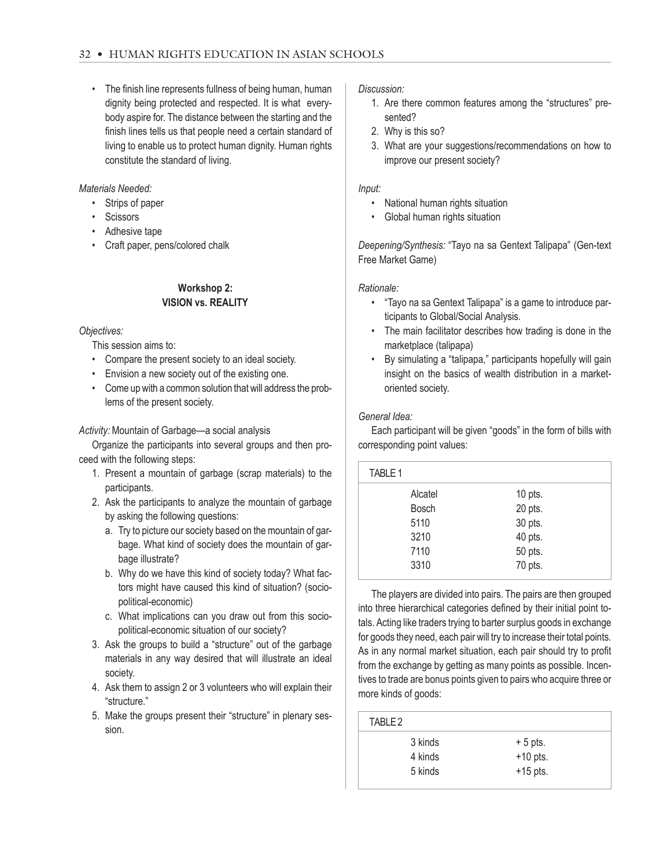• The finish line represents fullness of being human, human dignity being protected and respected. It is what everybody aspire for. The distance between the starting and the finish lines tells us that people need a certain standard of living to enable us to protect human dignity. Human rights constitute the standard of living.

*Materials Needed:*

- Strips of paper
- Scissors
- Adhesive tape
- Craft paper, pens/colored chalk

#### **Workshop 2: VISION vs. REALITY**

*Objectives:*

This session aims to:

- Compare the present society to an ideal society.
- Envision a new society out of the existing one.
- Come up with a common solution that will address the problems of the present society.

*Activity:* Mountain of Garbage—a social analysis

Organize the participants into several groups and then proceed with the following steps:

- 1. Present a mountain of garbage (scrap materials) to the participants.
- 2. Ask the participants to analyze the mountain of garbage by asking the following questions:
	- a. Try to picture our society based on the mountain of garbage. What kind of society does the mountain of garbage illustrate?
	- b. Why do we have this kind of society today? What factors might have caused this kind of situation? (sociopolitical-economic)
	- c. What implications can you draw out from this sociopolitical-economic situation of our society?
- 3. Ask the groups to build a "structure" out of the garbage materials in any way desired that will illustrate an ideal society.
- 4. Ask them to assign 2 or 3 volunteers who will explain their "structure."
- 5. Make the groups present their "structure" in plenary session.

*Discussion:*

- 1. Are there common features among the "structures" presented?
- 2. Why is this so?
- 3. What are your suggestions/recommendations on how to improve our present society?

#### *Input:*

- National human rights situation
- Global human rights situation

*Deepening/Synthesis:* "Tayo na sa Gentext Talipapa" (Gen-text Free Market Game)

#### *Rationale:*

- "Tayo na sa Gentext Talipapa" is a game to introduce participants to Global/Social Analysis.
- The main facilitator describes how trading is done in the marketplace (talipapa)
- By simulating a "talipapa," participants hopefully will gain insight on the basics of wealth distribution in a marketoriented society.

#### *General Idea:*

Each participant will be given "goods" in the form of bills with corresponding point values:

| TABLE 1      |           |  |
|--------------|-----------|--|
| Alcatel      | $10$ pts. |  |
| <b>Bosch</b> | 20 pts.   |  |
| 5110         | 30 pts.   |  |
| 3210         | 40 pts.   |  |
| 7110         | 50 pts.   |  |
| 3310         | 70 pts.   |  |
|              |           |  |

The players are divided into pairs. The pairs are then grouped into three hierarchical categories defined by their initial point totals. Acting like traders trying to barter surplus goods in exchange for goods they need, each pair will try to increase their total points. As in any normal market situation, each pair should try to profit from the exchange by getting as many points as possible. Incentives to trade are bonus points given to pairs who acquire three or more kinds of goods:

| TARI F 2 |            |  |
|----------|------------|--|
| 3 kinds  | $+5$ pts.  |  |
| 4 kinds  | $+10$ pts. |  |
| 5 kinds  | $+15$ pts. |  |
|          |            |  |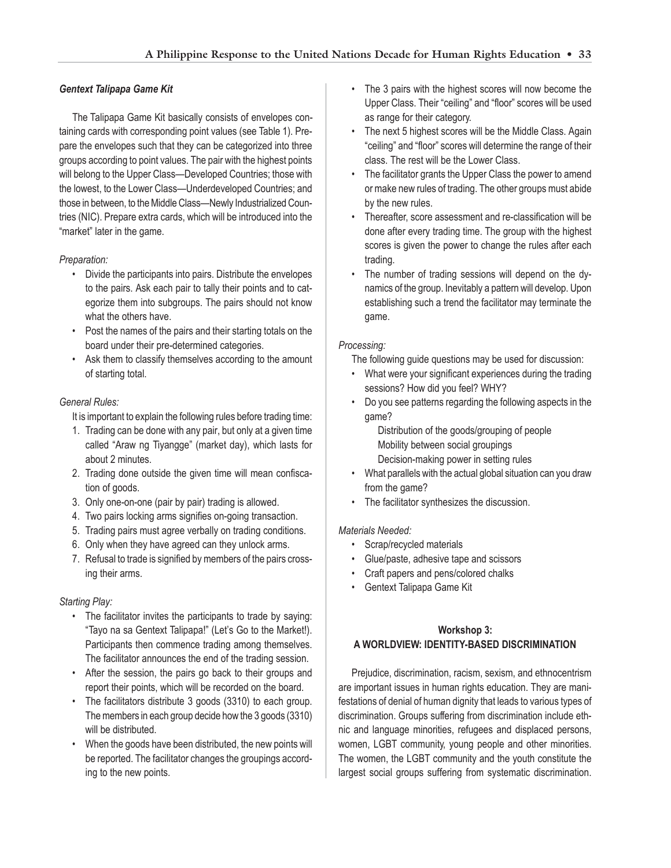#### *Gentext Talipapa Game Kit*

The Talipapa Game Kit basically consists of envelopes containing cards with corresponding point values (see Table 1). Prepare the envelopes such that they can be categorized into three groups according to point values. The pair with the highest points will belong to the Upper Class—Developed Countries; those with the lowest, to the Lower Class—Underdeveloped Countries; and those in between, to the Middle Class—Newly Industrialized Countries (NIC). Prepare extra cards, which will be introduced into the "market" later in the game.

#### *Preparation:*

- Divide the participants into pairs. Distribute the envelopes to the pairs. Ask each pair to tally their points and to categorize them into subgroups. The pairs should not know what the others have.
- Post the names of the pairs and their starting totals on the board under their pre-determined categories.
- Ask them to classify themselves according to the amount of starting total.

#### *General Rules:*

It is important to explain the following rules before trading time:

- 1. Trading can be done with any pair, but only at a given time called "Araw ng Tiyangge" (market day), which lasts for about 2 minutes.
- 2. Trading done outside the given time will mean confiscation of goods.
- 3. Only one-on-one (pair by pair) trading is allowed.
- 4. Two pairs locking arms signifies on-going transaction.
- 5. Trading pairs must agree verbally on trading conditions.
- 6. Only when they have agreed can they unlock arms.
- 7. Refusal to trade is signified by members of the pairs crossing their arms.

#### *Starting Play:*

- The facilitator invites the participants to trade by saying: "Tayo na sa Gentext Talipapa!" (Let's Go to the Market!). Participants then commence trading among themselves. The facilitator announces the end of the trading session.
- After the session, the pairs go back to their groups and report their points, which will be recorded on the board.
- The facilitators distribute 3 goods (3310) to each group. The members in each group decide how the 3 goods (3310) will be distributed.
- When the goods have been distributed, the new points will be reported. The facilitator changes the groupings according to the new points.
- The 3 pairs with the highest scores will now become the Upper Class. Their "ceiling" and "floor" scores will be used as range for their category.
- The next 5 highest scores will be the Middle Class. Again "ceiling" and "floor" scores will determine the range of their class. The rest will be the Lower Class.
- The facilitator grants the Upper Class the power to amend or make new rules of trading. The other groups must abide by the new rules.
- Thereafter, score assessment and re-classification will be done after every trading time. The group with the highest scores is given the power to change the rules after each trading.
- The number of trading sessions will depend on the dynamics of the group. Inevitably a pattern will develop. Upon establishing such a trend the facilitator may terminate the game.

#### *Processing:*

The following guide questions may be used for discussion:

- What were your significant experiences during the trading sessions? How did you feel? WHY?
- Do you see patterns regarding the following aspects in the game?

Distribution of the goods/grouping of people Mobility between social groupings Decision-making power in setting rules

- What parallels with the actual global situation can you draw from the game?
- The facilitator synthesizes the discussion.

#### *Materials Needed:*

- Scrap/recycled materials
- Glue/paste, adhesive tape and scissors
- Craft papers and pens/colored chalks
- Gentext Talipapa Game Kit

# **Workshop 3: A WORLDVIEW: IDENTITY-BASED DISCRIMINATION**

Prejudice, discrimination, racism, sexism, and ethnocentrism are important issues in human rights education. They are manifestations of denial of human dignity that leads to various types of discrimination. Groups suffering from discrimination include ethnic and language minorities, refugees and displaced persons, women, LGBT community, young people and other minorities. The women, the LGBT community and the youth constitute the largest social groups suffering from systematic discrimination.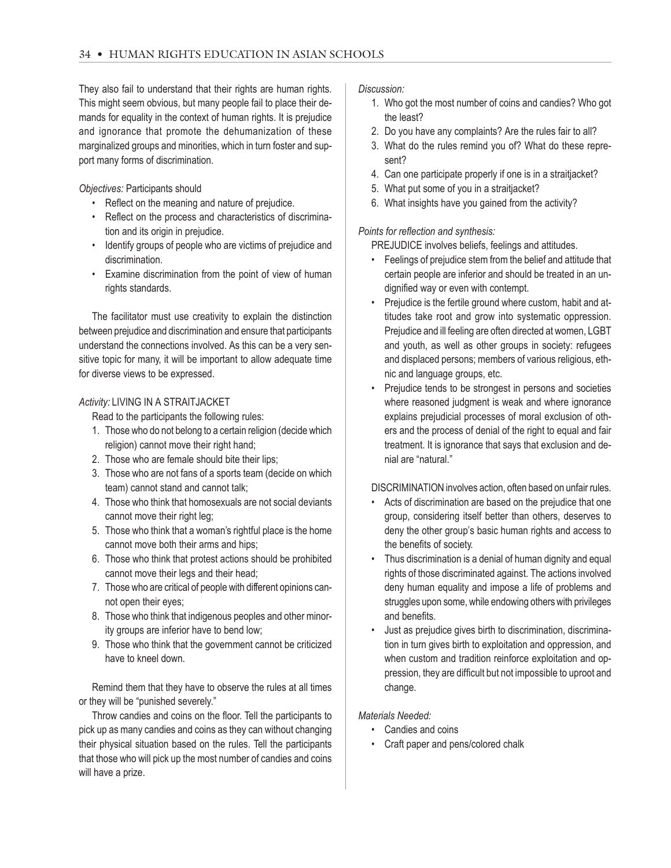They also fail to understand that their rights are human rights. This might seem obvious, but many people fail to place their demands for equality in the context of human rights. It is prejudice and ignorance that promote the dehumanization of these marginalized groups and minorities, which in turn foster and support many forms of discrimination.

*Objectives:* Participants should

- Reflect on the meaning and nature of prejudice.
- Reflect on the process and characteristics of discrimination and its origin in prejudice.
- Identify groups of people who are victims of prejudice and discrimination.
- Examine discrimination from the point of view of human rights standards.

The facilitator must use creativity to explain the distinction between prejudice and discrimination and ensure that participants understand the connections involved. As this can be a very sensitive topic for many, it will be important to allow adequate time for diverse views to be expressed.

#### *Activity:* LIVING IN A STRAITJACKET

Read to the participants the following rules:

- 1. Those who do not belong to a certain religion (decide which religion) cannot move their right hand;
- 2. Those who are female should bite their lips;
- 3. Those who are not fans of a sports team (decide on which team) cannot stand and cannot talk;
- 4. Those who think that homosexuals are not social deviants cannot move their right leg;
- 5. Those who think that a woman's rightful place is the home cannot move both their arms and hips;
- 6. Those who think that protest actions should be prohibited cannot move their legs and their head;
- 7. Those who are critical of people with different opinions cannot open their eyes;
- 8. Those who think that indigenous peoples and other minority groups are inferior have to bend low;
- 9. Those who think that the government cannot be criticized have to kneel down.

Remind them that they have to observe the rules at all times or they will be "punished severely."

Throw candies and coins on the floor. Tell the participants to pick up as many candies and coins as they can without changing their physical situation based on the rules. Tell the participants that those who will pick up the most number of candies and coins will have a prize.

*Discussion:*

- 1. Who got the most number of coins and candies? Who got the least?
- 2. Do you have any complaints? Are the rules fair to all?
- 3. What do the rules remind you of? What do these represent?
- 4. Can one participate properly if one is in a straitjacket?
- 5. What put some of you in a straitjacket?
- 6. What insights have you gained from the activity?

#### *Points for reflection and synthesis:*

PREJUDICE involves beliefs, feelings and attitudes.

- Feelings of prejudice stem from the belief and attitude that certain people are inferior and should be treated in an undignified way or even with contempt.
- Prejudice is the fertile ground where custom, habit and attitudes take root and grow into systematic oppression. Prejudice and ill feeling are often directed at women, LGBT and youth, as well as other groups in society: refugees and displaced persons; members of various religious, ethnic and language groups, etc.
- Prejudice tends to be strongest in persons and societies where reasoned judgment is weak and where ignorance explains prejudicial processes of moral exclusion of others and the process of denial of the right to equal and fair treatment. It is ignorance that says that exclusion and denial are "natural."

DISCRIMINATION involves action, often based on unfair rules.

- Acts of discrimination are based on the prejudice that one group, considering itself better than others, deserves to deny the other group's basic human rights and access to the benefits of society.
- Thus discrimination is a denial of human dignity and equal rights of those discriminated against. The actions involved deny human equality and impose a life of problems and struggles upon some, while endowing others with privileges and benefits.
- Just as prejudice gives birth to discrimination, discrimination in turn gives birth to exploitation and oppression, and when custom and tradition reinforce exploitation and oppression, they are difficult but not impossible to uproot and change.

*Materials Needed:*

- Candies and coins
- Craft paper and pens/colored chalk